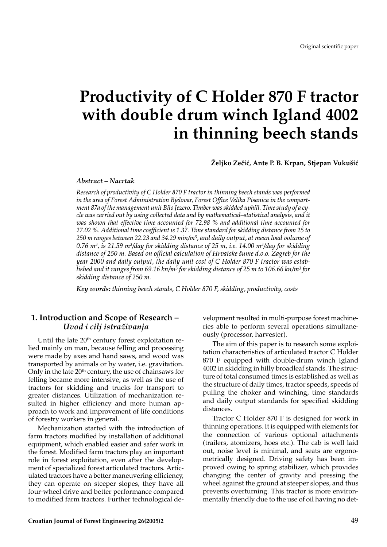# **Productivity of C Holder 870 F tractor with double drum winch Igland 4002 in thinning beech stands**

Željko Zečić, Ante P. B. Krpan, Stjepan Vukušić

*Abstract – Nacrtak*

*Research of productivity of C Holder 870 F tractor in thinning beech stands was performed in the area of Forest Administration Bjelovar, Forest Office Velika Pisanica in the compartment 87a of the management unit Bilo Jezero. Timber was skidded uphill. Time study of a cycle was carried out by using collected data and by mathematical–statistical analysis, and it was shown that effective time accounted for 72.98 % and additional time accounted for 27.02 %. Additional time coefficient is 1.37. Time standard for skidding distance from 25 to 250 m ranges between 22.23 and 34.29 min/m3, and daily output, at mean load volume of 0.76 m3, is 21.59 m3/day for skidding distance of 25 m, i.e. 14.00 m3/day for skidding distance of 250 m. Based on official calculation of Hrvatske {ume d.o.o. Zagreb for the year 2000 and daily output, the daily unit cost of C Holder 870 F tractor was established and it ranges from 69.16 kn/m3 for skidding distance of 25 m to 106.66 kn/m3 for skidding distance of 250 m.*

*Key words: thinning beech stands, C Holder 870 F, skidding, productivity, costs*

# **1. Introduction and Scope of Research –** *Uvod i cilj istra`ivanja*

Until the late 20<sup>th</sup> century forest exploitation relied mainly on man, because felling and processing were made by axes and hand saws, and wood was transported by animals or by water, i.e. gravitation. Only in the late  $20<sup>th</sup>$  century, the use of chainsaws for felling became more intensive, as well as the use of tractors for skidding and trucks for transport to greater distances. Utilization of mechanization resulted in higher efficiency and more human approach to work and improvement of life conditions of forestry workers in general.

Mechanization started with the introduction of farm tractors modified by installation of additional equipment, which enabled easier and safer work in the forest. Modified farm tractors play an important role in forest exploitation, even after the development of specialized forest articulated tractors. Articulated tractors have a better maneuvering efficiency, they can operate on steeper slopes, they have all four-wheel drive and better performance compared to modified farm tractors. Further technological development resulted in multi-purpose forest machineries able to perform several operations simultaneously (processor, harvester).

The aim of this paper is to research some exploitation characteristics of articulated tractor C Holder 870 F equipped with double-drum winch Igland 4002 in skidding in hilly broadleaf stands. The structure of total consumed times is established as well as the structure of daily times, tractor speeds, speeds of pulling the choker and winching, time standards and daily output standards for specified skidding distances.

Tractor C Holder 870 F is designed for work in thinning operations. It is equipped with elements for the connection of various optional attachments (trailers, atomizers, hoes etc.). The cab is well laid out, noise level is minimal, and seats are ergonometrically designed. Driving safety has been improved owing to spring stabilizer, which provides changing the center of gravity and pressing the wheel against the ground at steeper slopes, and thus prevents overturning. This tractor is more environmentally friendly due to the use of oil having no det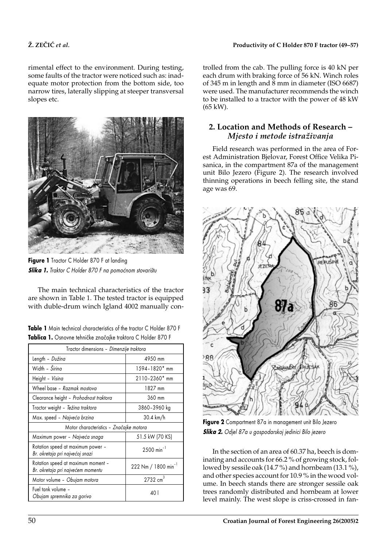rimental effect to the environment. During testing, some faults of the tractor were noticed such as: inadequate motor protection from the bottom side, too narrow tires, laterally slipping at steeper transversal slopes etc.



**Figure 1** Tractor C Holder 870 F at landing **Slika 1.** *Traktor C Holder 870 F na pomoćnom stovarištu* 

The main technical characteristics of the tractor are shown in Table 1. The tested tractor is equipped with duble-drum winch Igland 4002 manually con-

|                                                              |  | Table 1 Main technical characteristics of the tractor C Holder 870 F |
|--------------------------------------------------------------|--|----------------------------------------------------------------------|
| Tablica 1. Osnovne tehničke značajke traktora C Holder 870 F |  |                                                                      |
|                                                              |  |                                                                      |

| Tractor dimensions - Dimenzije traktora                                 |                                 |  |  |
|-------------------------------------------------------------------------|---------------------------------|--|--|
| Length - Dužina                                                         | 4950 mm                         |  |  |
| Width - <i>Širina</i>                                                   | 1594-1820* mm                   |  |  |
| Height - Visina                                                         | 2110-2360* mm                   |  |  |
| Wheel base - Razmak mostova                                             | 1827 mm                         |  |  |
| Clearance height - Prohodnost traktora                                  | 360 mm                          |  |  |
| Tractor weight – <i>Težina traktora</i>                                 | 3860-3960 kg                    |  |  |
| Max. speed - Najveća brzina                                             | 30.4 km/h                       |  |  |
| Motor characteristics - Značajke motora                                 |                                 |  |  |
| Maximum power - Najveća snaga                                           | 51.5 kW (70 KS)                 |  |  |
| Rotation speed at maximum power -<br>Br. okretaja pri najvećoj snazi    | $2500$ min <sup>-1</sup>        |  |  |
| Rotation speed at maximum moment -<br>Br. okretaja pri najvećem momentu | 222 Nm / 1800 min <sup>-1</sup> |  |  |
| Motor volume - Obujam motora                                            | $2732$ cm <sup>3</sup>          |  |  |
| Fuel tank volume -<br>Obujam spremnika za gorivo                        | 40 l                            |  |  |

trolled from the cab. The pulling force is 40 kN per each drum with braking force of 56 kN. Winch roles of 345 m in length and 8 mm in diameter (ISO 6687) were used. The manufacturer recommends the winch to be installed to a tractor with the power of 48 kW (65 kW).

# **2. Location and Methods of Research –** *Mjesto i metode istra`ivanja*

Field research was performed in the area of Forest Administration Bjelovar, Forest Office Velika Pisanica, in the compartment 87a of the management unit Bilo Jezero (Figure 2). The research involved thinning operations in beech felling site, the stand age was 69.



**Figure 2** Compartment 87a in management unit Bilo Jezero *Slika 2. Odjel 87a u gospodarskoj jedinici Bilo jezero*

In the section of an area of 60.37 ha, beech is dominating and accounts for 66.2 % of growing stock, followed by sessile oak (14.7 %) and hornbeam (13.1 %), and other species account for 10.9 % in the wood volume. In beech stands there are stronger sessile oak trees randomly distributed and hornbeam at lower level mainly. The west slope is criss-crossed in fan-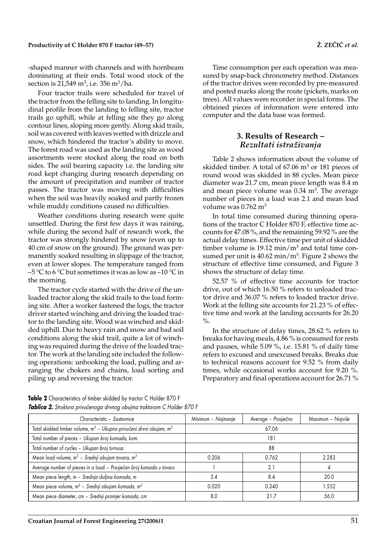#### Productivity of C Holder 870 F tractor (49–57) *Productivity of C Holder 870 F tractor* (49–57)

-shaped manner with channels and with hornbeam dominating at their ends. Total wood stock of the section is  $21.549$  m<sup>3</sup>, i.e. 356 m<sup>3</sup>/ha.

Four tractor trails were scheduled for travel of the tractor from the felling site to landing. In longitudinal profile from the landing to felling site, tractor trails go uphill, while at felling site they go along contour lines, sloping more gently. Along skid trails, soil was covered with leaves wetted with drizzle and snow, which hindered the tractor's ability to move. The forest road was used as the landing site as wood assortments were stocked along the road on both sides. The soil bearing capacity i.e. the landing site road kept changing during research depending on the amount of precipitation and number of tractor passes. The tractor was moving with difficulties when the soil was heavily soaked and partly frozen while muddy conditions caused no difficulties.

Weather conditions during research were quite unsettled. During the first few days it was raining, while during the second half of research work, the tractor was strongly hindered by snow (even up to 40 cm of snow on the ground). The ground was permanently soaked resulting in slippage of the tractor, even at lower slopes. The temperature ranged from –5 °C to 6 °C but sometimes it was as low as –10 °C in the morning.

The tractor cycle started with the drive of the unloaded tractor along the skid trails to the load forming site. After a worker fastened the logs, the tractor driver started winching and driving the loaded tractor to the landing site. Wood was winched and skidded uphill. Due to heavy rain and snow and bad soil conditions along the skid trail, quite a lot of winching was required during the drive of the loaded tractor. The work at the landing site included the following operations: unhooking the load, pulling and arranging the chokers and chains, load sorting and piling up and reversing the tractor.

Time consumption per each operation was measured by snap-back chronometry method. Distances of the tractor drives were recorded by pre-measured and posted marks along the route (pickets, marks on trees). All values were recorder in special forms. The obtained pieces of information were entered into computer and the data base was formed.

## **3. Results of Research –** *Rezultati istra`ivanja*

Table 2 shows information about the volume of skidded timber. A total of 67.06 m3 or 181 pieces of round wood was skidded in 88 cycles. Mean piece diameter was 21.7 cm, mean piece length was 8.4 m and mean piece volume was  $0.34 \text{ m}^3$ . The average number of pieces in a load was 2.1 and mean load volume was 0.762 m3

In total time consumed during thinning operations of the tractor C Holder 870 F, effective time accounts for 47.08 %, and the remaining 59.92 % are the actual delay times. Effective time per unit of skidded timber volume is 19.12 min/ $m<sup>3</sup>$  and total time consumed per unit is  $40.62 \text{ min/m}^3$ . Figure 2 shows the structure of effective time consumed, and Figure 3 shows the structure of delay time.

52.57 % of effective time accounts for tractor drive, out of which 16.50 % refers to unloaded tractor drive and 36.07 % refers to loaded tractor drive. Work at the felling site accounts for 21.23 % of effective time and work at the landing accounts for 26.20  $\frac{0}{0}$ .

In the structure of delay times, 28.62 % refers to breaks for having meals, 4.86 % is consumed for rests and pauses, while 5.09 %, i.e. 15.81 % of daily time refers to excused and unexcused breaks. Breaks due to technical reasons account for 9.52 % from daily times, while occasional works account for 9.20 %. Preparatory and final operations account for 26.71 %

**Table 2** Characteristics of timber skidded by tractor C Holder 870 F **Tablica 2.** Struktura privučenoga drvnog obujma traktorom C Holder 870 F

| Characteristic - Sastavnice                                                                 | Minimum - Najmanje | Average - Prosječno | Maximum - Najviše |  |
|---------------------------------------------------------------------------------------------|--------------------|---------------------|-------------------|--|
| Total skidded timber volume, m <sup>3</sup> - Ukupno privučeni drvni obujam, m <sup>3</sup> | 67.06              |                     |                   |  |
| Total number of pieces - Ukupan broj komada, kom.                                           | 181                |                     |                   |  |
| Total number of cycles - Ukupan broj turnusa                                                | 88                 |                     |                   |  |
| Mean load volume, $m^3$ - Srednji obujam tovara, $m^3$                                      | 0.206              | 0.762               | 2.283             |  |
| Average number of pieces in a load - Prosječan broj komada u tovaru                         |                    | 2.1                 |                   |  |
| Mean piece length, m - Srednja duljina komada, m                                            | 3.4                | 8.4                 | 20.0              |  |
| Mean piece volume, m <sup>3</sup> - Srednji obujam komada, m <sup>3</sup>                   | 0.020              | 0.340               | 1.552             |  |
| Mean piece diameter, cm - Srednji promjer komada, cm                                        | 8.0                | 21.7                | 56.0              |  |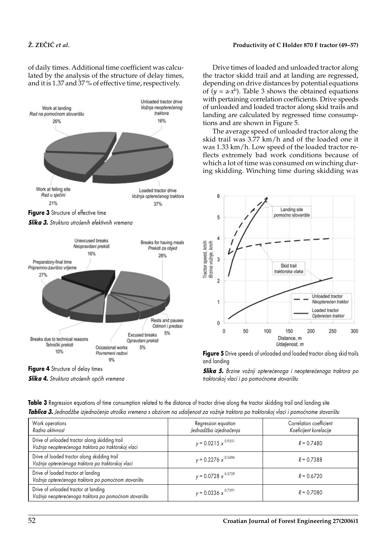of daily times. Additional time coefficient was calculated by the analysis of the structure of delay times, and it is 1.37 and 37 % of effective time, respectively.





*Slika 4. Struktura utro{enih op}ih vremena*

Drive times of loaded and unloaded tractor along the tractor skidd trail and at landing are regressed, depending on drive distances by potential equations of  $(y = a \cdot x^b)$ . Table 3 shows the obtained equations with pertaining correlation coefficients. Drive speeds of unloaded and loaded tractor along skid trails and landing are calculated by regressed time consumptions and are shown in Figure 5.

The average speed of unloaded tractor along the skid trail was 3.77 km/h and of the loaded one it was 1.33 km/h. Low speed of the loaded tractor reflects extremely bad work conditions because of which a lot of time was consumed on winching during skidding. Winching time during skidding was



**Figure 5** Drive speeds of unloaded and loaded tractor along skid trails and landing

**Slika 5.** Brzine vožnji opterećenoga i neopterećenoga traktora po *traktorskoj vlaci i po pomo}nome stovari{tu*

| Work operations<br>Radna aktivnost                                                                    | Regression equation<br>Jednadžba izjednačenja | Correlation coefficient<br>Koeficijent korelacije |
|-------------------------------------------------------------------------------------------------------|-----------------------------------------------|---------------------------------------------------|
| Drive of unloaded tractor along skidding trail<br>Vožnja neopterećenoga traktora po traktorskoj vlaci | $y = 0.0215 x^{0.9351}$                       | $R = 0.7480$                                      |
| Drive of loaded tractor along skidding trail<br>Vožnja opterećenoga traktora po traktorskoj vlaci     | $y = 0.2276 x^{0.5496}$                       | $R = 0.7388$                                      |
| Drive of loaded tractor at landing<br>Vožnja opterećenoga traktora po pomoćnom stovarištu             | $y = 0.0728 x^{0.5729}$                       | $R = 0.6720$                                      |
| Drive of unloaded tractor at landing<br>Vožnja neopterećenoga traktora po pomoćnom stovarištu         | $y = 0.0336 x^{0.7391}$                       | $R = 0.7080$                                      |

**Table 3** Regression equations of time consumption related to the distance of tractor drive along the tractor skidding trail and landing site **Tablica 3.** Jednadžbe izjednačenja utroška vremena s obzirom na udaljenost za vožnje traktora po traktorskoj vlaci i pomoćnome stovarištu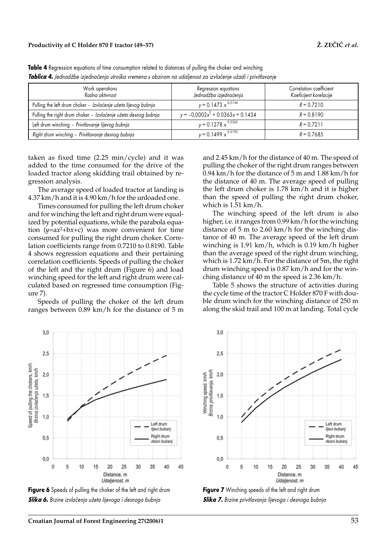| Work operations<br>Radna aktivnost                             | Regression equations<br>Jednadžba izjednačenja | Correlation coefficient<br>Koeficijent korelacije |
|----------------------------------------------------------------|------------------------------------------------|---------------------------------------------------|
| Pulling the left drum choker - Izvlačenje užeta lijevog bubnja | $y = 0.1473 x^{0.5134}$                        | $R = 0.7210$                                      |
| Pulling the right drum choker - Izvlačenje užeta desnog bubnja | $y = -0.0002x^{2} + 0.0363x + 0.1434$          | $R = 0.8190$                                      |
| Left drum winching - Privitlavanje lijevog bubnja              | $y = 0.1278 x^{0.5363}$                        | $R = 0.7211$                                      |
| Right drum winching - Privitlavanje desnog bubnja              | $y = 0.1499 x^{0.5193}$                        | $R = 0.7685$                                      |

Table 4 Regression equations of time consumption related to distances of pulling the choker and winching *Tablica 4. Jednad`be izjedna~enja utro{ka vremena s obzirom na udaljenost za izvla~enje u`adi i privitlavanje*

taken as fixed time (2.25 min/cycle) and it was added to the time consumed for the drive of the loaded tractor along skidding trail obtained by regression analysis.

The average speed of loaded tractor at landing is 4.37 km/h and it is 4.90 km/h for the unloaded one.

Times consumed for pulling the left drum choker and for winching the left and right drum were equalized by potential equations, while the parabola equation  $(y=ax^2+bx+c)$  was more convenient for time consumed for pulling the right drum choker. Correlation coefficients range from 0.7210 to 0.8190. Table 4 shows regression equations and their pertaining correlation coefficients. Speeds of pulling the choker of the left and the right drum (Figure 6) and load winching speed for the left and right drum were calculated based on regressed time consumption (Figure 7).

Speeds of pulling the choker of the left drum ranges between 0.89 km/h for the distance of 5 m and 2.45 km/h for the distance of 40 m. The speed of pulling the choker of the right drum ranges between 0.94 km/h for the distance of 5 m and 1.88 km/h for the distance of 40 m. The average speed of pulling the left drum choker is 1.78 km/h and it is higher than the speed of pulling the right drum choker, which is 1.51 km/h.

The winching speed of the left drum is also higher, i.e. it ranges from 0.99 km/h for the winching distance of 5 m to 2.60 km/h for the winching distance of 40 m. The average speed of the left drum winching is 1.91 km/h, which is 0.19 km/h higher than the average speed of the right drum winching, which is 1.72 km/h. For the distance of 5m, the right drum winching speed is 0.87 km/h and for the winching distance of 40 m the speed is 2.36 km/h.

Table 5 shows the structure of activities during the cycle time of the tractor C Holder 870 F with double drum winch for the winching distance of 250 m along the skid trail and 100 m at landing. Total cycle



**Figure 6** Speeds of pulling the choker of the left and right drum **Slika 6.** Brzine izvlačenja užeta lijevoga i desnoga bubnja



**Figure 7** Winching speeds of the left and right drum *Slika 7. Brzine privitlavanja lijevoga i desnoga bubnja*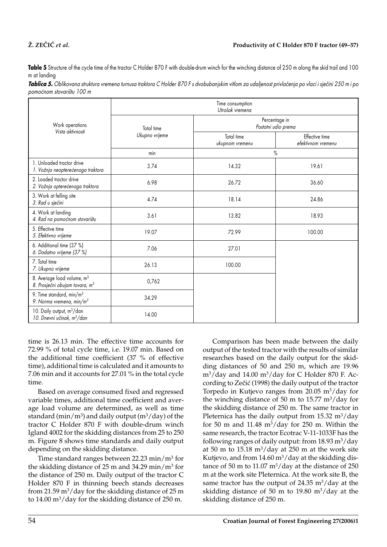# **@. ZE^I]** *et al.* **Productivity of C Holder 870 F tractor (49–57)**

Table 5 Structure of the cycle time of the tractor C Holder 870 F with double-drum winch for the winching distance of 250 m along the skid trail and 100 m at landing

| Tablica 5. Oblikovana struktura vremena turnusa traktora C Holder 870 F s dvobubanjskim vitlom za udaljenost privlačenja po vlaci i sječini 250 m i po |  |  |
|--------------------------------------------------------------------------------------------------------------------------------------------------------|--|--|
| pomoćnom stovarištu 100 m                                                                                                                              |  |  |

|                                                                                      | Time consumption<br>Utrošak vremena |                                      |                                      |  |
|--------------------------------------------------------------------------------------|-------------------------------------|--------------------------------------|--------------------------------------|--|
| Work operations<br>Vrsta aktivnosti                                                  | Total time<br>Ukupno vrijeme        | Percentage in<br>Postotni udio prema |                                      |  |
|                                                                                      |                                     | Total time<br>ukupnom vremenu        | Effective time<br>efektivnom vremenu |  |
|                                                                                      | min                                 | $\%$                                 |                                      |  |
| 1. Unloaded tractor drive<br>1. Vožnja neopterećenoga traktora                       | 3.74                                | 14.32                                | 19.61                                |  |
| 2. Loaded tractor drive<br>2. Vožnja opterećenoga traktora                           | 6.98                                | 26.72                                | 36.60                                |  |
| 3. Work at felling site<br>3. Rad u sječini                                          | 4.74                                | 18.14                                | 24.86                                |  |
| 4. Work at landing<br>4. Rad na pomoćnom stovarištu                                  | 3.61                                | 13.82                                | 18.93                                |  |
| 5. Effective time<br>5. Efektivno vrijeme                                            | 19.07                               | 72.99                                | 100.00                               |  |
| 6. Additional time (37 %)<br>6. Dodatno vrijeme (37 %)                               | 7.06                                | 27.01                                |                                      |  |
| 7. Total time<br>7. Ukupno vrijeme                                                   | 26.13                               | 100.00                               |                                      |  |
| 8. Average load volume, m <sup>3</sup><br>8. Prosječni obujam tovara, m <sup>3</sup> | 0,762                               |                                      |                                      |  |
| 9. Time standard, $min/m^3$<br>9. Norma vremena, min/ $m^3$                          | 34.29                               |                                      |                                      |  |
| 10. Daily output, m <sup>3</sup> /dan<br>10. Dnevni učinak, m <sup>3</sup> /dan      | 14.00                               |                                      |                                      |  |

time is 26.13 min. The effective time accounts for 72.99 % of total cycle time, i.e. 19.07 min. Based on the additional time coefficient (37 % of effective time), additional time is calculated and it amounts to 7.06 min and it accounts for 27.01 % in the total cycle time.

Based on average consumed fixed and regressed variable times, additional time coefficient and average load volume are determined, as well as time standard (min/ $m^3$ ) and daily output ( $m^3$ /day) of the tractor C Holder 870 F with double-drum winch Igland 4002 for the skidding distances from 25 to 250 m. Figure 8 shows time standards and daily output depending on the skidding distance.

Time standard ranges between 22.23 min/m3 for the skidding distance of 25 m and 34.29 min/m3 for the distance of 250 m. Daily output of the tractor C Holder 870 F in thinning beech stands decreases from 21.59  $\text{m}^3/\text{day}$  for the skidding distance of 25 m to  $14.00 \text{ m}^3/\text{day}$  for the skidding distance of  $250 \text{ m}$ .

Comparison has been made between the daily output of the tested tractor with the results of similar researches based on the daily output for the skidding distances of 50 and 250 m, which are 19.96  $m^3$ /day and 14.00 m<sup>3</sup>/day for C Holder 870 F. According to Zečić (1998) the daily output of the tractor Torpedo in Kutjevo ranges from  $20.05 \text{ m}^3/\text{day}$  for the winching distance of 50 m to  $15.77 \text{ m}^3/\text{day}$  for the skidding distance of 250 m. The same tractor in Pleternica has the daily output from  $15.32 \text{ m}^3/\text{day}$ for 50 m and 11.48  $\text{m}^3/\text{day}$  for 250 m. Within the same research, the tractor Ecotrac V-11-1033F has the following ranges of daily output: from  $18.93 \text{ m}^3/\text{day}$ at 50 m to  $15.18 \text{ m}^3/\text{day}$  at  $250 \text{ m}$  at the work site Kutjevo, and from  $14.60 \text{ m}^3/\text{day}$  at the skidding distance of 50 m to 11.07  $\text{m}^3/\text{day}$  at the distance of 250 m at the work site Pleternica. At the work site B, the same tractor has the output of  $24.35 \text{ m}^3/\text{day}$  at the skidding distance of 50 m to 19.80 m<sup>3</sup>/day at the skidding distance of 250 m.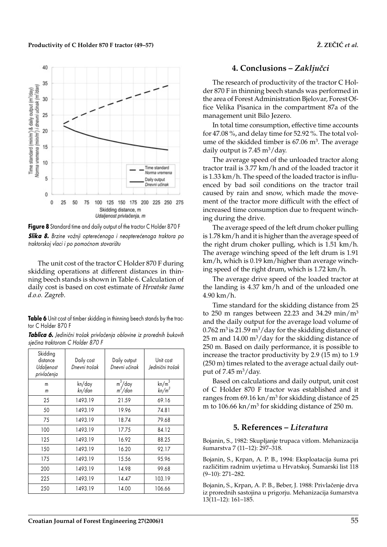Productivity of C Holder 870 F tractor (49–57)  $\check{Z}$ . ZEČIĆ *et al.* 



**Figure 8** Standard time and daily output of the tractor C Holder 870 F

**Slika 8.** Brzine vožnji opterećenoga i neopterećenoga traktora po *traktorskoj vlaci i po pomo}nom stovari{tu*

The unit cost of the tractor C Holder 870 F during skidding operations at different distances in thinning beech stands is shown in Table 6. Calculation of daily cost is based on cost estimate of *Hrvatske {ume d.o.o. Zagreb*.

**Table 6** Unit cost of timber skidding in thinning beech stands by the tractor C Holder 870 F

| Tablica 6. Jedinični trošak privlačenja oblovine iz prorednih bukovih |  |
|-----------------------------------------------------------------------|--|
| sječina traktorom C Holder 870 F                                      |  |

| Skidding<br>distance<br>Udaljenost<br>privlačenja | Daily cost<br>Dnevni trošak | Daily output<br>Dnevni učinak | Unit cost<br>Jedinični trošak |
|---------------------------------------------------|-----------------------------|-------------------------------|-------------------------------|
| m<br>m                                            | kn/day<br>kn/dan            | $m^3/day$<br>$m^3/dan$        | $kn/m^3$<br>$kn/m^3$          |
| 25                                                | 1493.19                     | 21.59                         | 69.16                         |
| 50                                                | 1493.19                     | 19.96                         | 74.81                         |
| 75                                                | 1493.19                     | 18.74                         | 79.68                         |
| 100                                               | 1493.19                     | 17.75                         | 84.12                         |
| 125                                               | 1493.19                     | 16.92                         | 88.25                         |
| 150                                               | 1493.19                     | 16.20                         | 92.17                         |
| 175                                               | 1493.19                     | 15.56                         | 95.96                         |
| 200                                               | 1493.19                     | 14.98                         | 99.68                         |
| 225                                               | 1493.19                     | 14.47                         | 103.19                        |
| 250                                               | 1493.19                     | 14.00                         | 106.66                        |

# **4. Conclusions – Zaključci**

The research of productivity of the tractor C Holder 870 F in thinning beech stands was performed in the area of Forest Administration Bjelovar, Forest Office Velika Pisanica in the compartment 87a of the management unit Bilo Jezero.

In total time consumption, effective time accounts for 47.08 %, and delay time for 52.92 %. The total volume of the skidded timber is 67.06 m<sup>3</sup>. The average daily output is  $7.45 \text{ m}^3/\text{day}$ .

The average speed of the unloaded tractor along tractor trail is 3.77 km/h and of the loaded tractor it is 1.33 km/h. The speed of the loaded tractor is influenced by bad soil conditions on the tractor trail caused by rain and snow, which made the movement of the tractor more difficult with the effect of increased time consumption due to frequent winching during the drive.

The average speed of the left drum choker pulling is 1.78 km/h and it is higher than the average speed of the right drum choker pulling, which is 1.51 km/h. The average winching speed of the left drum is 1.91 km/h, which is 0.19 km/higher than average winching speed of the right drum, which is 1.72 km/h.

The average drive speed of the loaded tractor at the landing is 4.37 km/h and of the unloaded one 4.90 km/h.

Time standard for the skidding distance from 25 to 250 m ranges between 22.23 and 34.29 min/m3 and the daily output for the average load volume of  $0.762 \text{ m}^3$  is 21.59 m<sup>3</sup>/day for the skidding distance of 25 m and 14.00  $\text{m}^3/\text{day}$  for the skidding distance of 250 m. Based on daily performance, it is possible to increase the tractor productivity by 2.9 (15 m) to 1.9 (250 m) times related to the average actual daily output of  $7.45 \text{ m}^3/\text{day}$ .

Based on calculations and daily output, unit cost of C Holder 870 F tractor was established and it ranges from 69.16 kn/m3 for skidding distance of 25 m to 106.66 kn/m3 for skidding distance of 250 m.

# **5. References –** *Literatura*

Bojanin, S., 1982: Skupljanje trupaca vitlom. Mehanizacija šumarstva 7 (11-12): 297-318.

Bojanin, S., Krpan, A. P. B., 1994: Eksploatacija {uma pri različitim radnim uvjetima u Hrvatskoj. Šumarski list 118 (9–10): 271–282.

Bojanin, S., Krpan, A. P. B., Beber, J. 1988: Privlačenje drva iz prorednih sastojina u prigorju. Mehanizacija šumarstva 13(11–12): 161–185.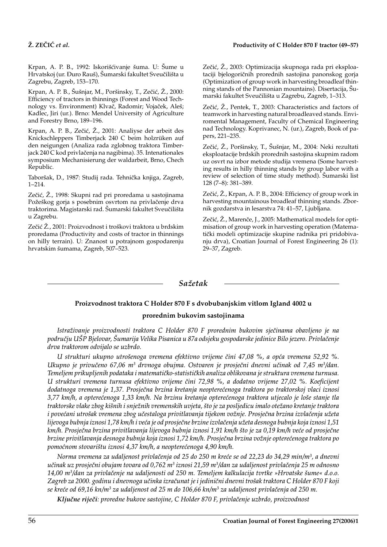Krpan, A. P. B., 1992: Iskorišćivanje šuma. U: Šume u Hrvatskoj (ur. Đuro Rauš), Šumarski fakultet Sveučilišta u Zagrebu, Zagreb, 153–170.

Krpan, A. P. B., Šušnjar, M., Poršinsky, T., Zečić, Ž., 2000: Efficiency of tractors in thinnings (Forest and Wood Technology vs. Environment) Klvač, Radomir; Vojaček, Aleš; Kadlec, Jiri (ur.). Brno: Mendel University of Agriculture and Forestry Brno, 189–196.

Krpan, A. P. B., Zečić, Ž., 2001: Analiyse der arbeit des Knickschleppers Timberjack 240 C beim holzrüken auf den neigungen (Analiza rada zglobnog traktora Timberjack 240 C kod privlačenja na nagibima). 35. Intenationales symposium Mechanisierung der waldarbeit, Brno, Chech Republic.

Taboršak, D., 1987: Studij rada. Tehnička knjiga, Zagreb, 1–214.

Zečić, Ž., 1998: Skupni rad pri proredama u sastojinama Požeškog gorja s posebnim osvrtom na privlačenje drva traktorima. Magistarski rad. Šumarski fakultet Sveučilišta u Zagrebu.

Zečić Ž., 2001: Proizvodnost i troškovi traktora u brdskim proredama (Productivity and costs of tractor in thinnings on hilly terrain). U: Znanost u potrajnom gospodarenju hrvatskim {umama, Zagreb, 507–523.

Zečić, Ž., 2003: Optimizacija skupnoga rada pri eksploataciji bjelogoričnih prorednih sastojina panonskog gorja (Optimization of group work in harvesting broadleaf thinning stands of the Pannonian mountains). Disertacija, Šumarski fakultet Sveučilišta u Zagrebu, Zagreb, 1-313.

Zečić, Ž., Pentek, T., 2003: Characteristics and factors of teamwork in harvesting natural broadleaved stands. Enviromental Management, Faculty of Chemical Engineering nad Technology. Koprivanec, N. (ur.), Zagreb, Book of papers, 221–235.

Zečić, Ž., Poršinsky, T., Šušnjar, M., 2004: Neki rezultati eksploatacije brdskih prorednih sastojina skupnim radom uz osvrt na izbor metode studija vremena (Some harvesting results in hilly thinning stands by group labor with a review of selection of time study method). Šumarski list 128 (7–8): 381–389.

Zečić, Ž., Krpan, A. P. B., 2004: Efficiency of group work in harvesting mountainous broadleaf thinning stands. Zbornik gozdarstva in lesarstva 74: 41–57, Ljubljana.

Zečić, Ž., Marenče, J., 2005: Mathematical models for optimisation of group work in harvesting operation (Matematički modeli optimizacije skupine radnika pri pridobivanju drva), Croatian Journal of Forest Engineering 26 (1): 29–37, Zagreb.

## *Sa`etak*

## **Proizvodnost traktora C Holder 870 F s dvobubanjskim vitlom Igland 4002 u**

#### **prorednim bukovim sastojinama**

*Istra`ivanje proizvodnosti traktora C Holder 870 F prorednim bukovim sje~inama obavljeno je na podru~ju U[P Bjelovar, [umarija Velika Pisanica u 87a odsjeku gospodarske jedinice Bilo jezero. Privla~enje drva traktorom odvijalo se uzbrdo.*

*U strukturi ukupno utro{enoga vremena efektivno vrijeme ~ini 47,08 %, a op}a vremena 52,92 %. Ukupno je privučeno 67,06 m<sup>3</sup> drvnoga obujma. Ostvaren je prosječni dnevni učinak od 7,45 m<sup>3</sup>/dan.* Temeljem prikupljenih podataka i matematičko-statističkih analiza oblikovana je struktura vremena turnusa. *U strukturi vremena turnusa efektivno vrijeme ~ini 72,98 %, a dodatno vrijeme 27,02 %. Koeficijent dodatnoga vremena je 1,37. Prosje~na brzina kretanja neoptere}enoga traktora po traktorskoj vlaci iznosi 3,77 km/h, a optere}enoga 1,33 km/h. Na brzinu kretanja optere}enoga traktora utjecalo je lo{e stanje tla traktorske vlake zbog ki{nih i snje`nih vremenskih uvjeta, {to je za posljedicu imalo ote`ano kretanje traktora i povećani utrošak vremena zbog učestaloga privitlavanja tijekom vožnje. Prosječna brzina izvlačenja užeta* lijevoga bubnja iznosi 1,78 km/h i veća je od prosječne brzine izvlačenja užeta desnoga bubnja koja iznosi 1,51 km/h. Prosječna brzina privitlavanja lijevoga bubnja iznosi 1,91 km/h što je za 0,19 km/h veće od prosječne *brzine privitlavanja desnoga bubnja koja iznosi 1,72 km/h. Prosje~na brzina vo`nje optere}enoga traktora po pomo}nom stovari{tu iznosi 4,37 km/h, a neoptere}enoga 4,90 km/h.*

*Norma vremena za udaljenost privla~enja od 25 do 250 m kre}e se od 22,23 do 34,29 min/m3, a dnevni u~inak uz prosje~ni obujam tovara od 0,762 m3 iznosi 21,59 m3/dan za udaljenost privla~enja 25 m odnosno 14,00 m3/dan za privla~enje na udaljenosti od 250 m. Temeljem kalkulacija tvrtke »Hrvatske {ume« d.o.o.* Zagreb za 2000. godinu i dnevnoga učinka izračunat je i jedinični dnevni trošak traktora C Holder 870 F koji *se kre}e od 69,16 kn/m3 za udaljenost od 25 m do 106,66 kn/m3 za udaljenost privla~enja od 250 m.*

*Klju~ne rije~i: proredne bukove sastojine, C Holder 870 F, privla~enje uzbrdo, proizvodnost*